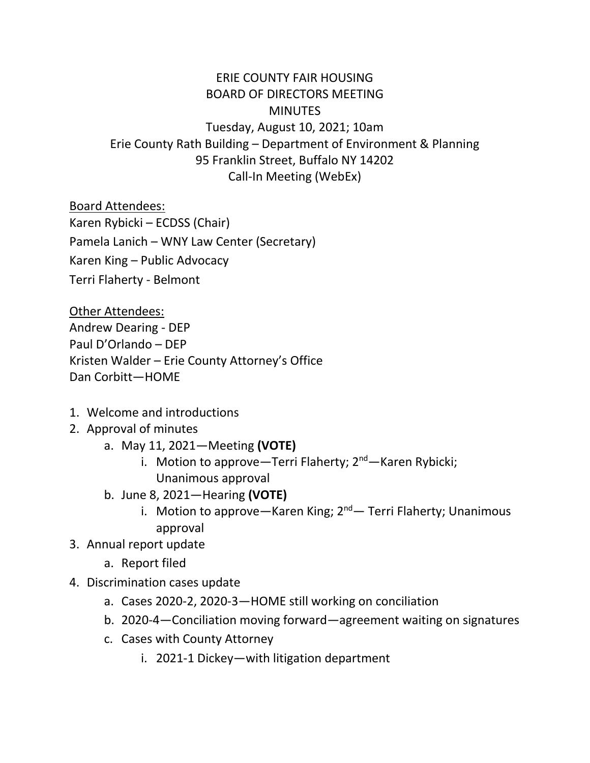## ERIE COUNTY FAIR HOUSING BOARD OF DIRECTORS MEETING **MINUTES** Tuesday, August 10, 2021; 10am Erie County Rath Building – Department of Environment & Planning 95 Franklin Street, Buffalo NY 14202 Call-In Meeting (WebEx)

Board Attendees:

Karen Rybicki – ECDSS (Chair)

Pamela Lanich – WNY Law Center (Secretary)

Karen King – Public Advocacy

Terri Flaherty - Belmont

Other Attendees:

Andrew Dearing - DEP Paul D'Orlando – DEP Kristen Walder – Erie County Attorney's Office Dan Corbitt—HOME

- 1. Welcome and introductions
- 2. Approval of minutes
	- a. May 11, 2021—Meeting **(VOTE)**
		- i. Motion to approve—Terri Flaherty; 2<sup>nd</sup>—Karen Rybicki; Unanimous approval
	- b. June 8, 2021—Hearing **(VOTE)**
		- i. Motion to approve—Karen King;  $2^{nd}$  Terri Flaherty; Unanimous approval
- 3. Annual report update
	- a. Report filed
- 4. Discrimination cases update
	- a. Cases 2020-2, 2020-3—HOME still working on conciliation
	- b. 2020-4—Conciliation moving forward—agreement waiting on signatures
	- c. Cases with County Attorney
		- i. 2021-1 Dickey—with litigation department